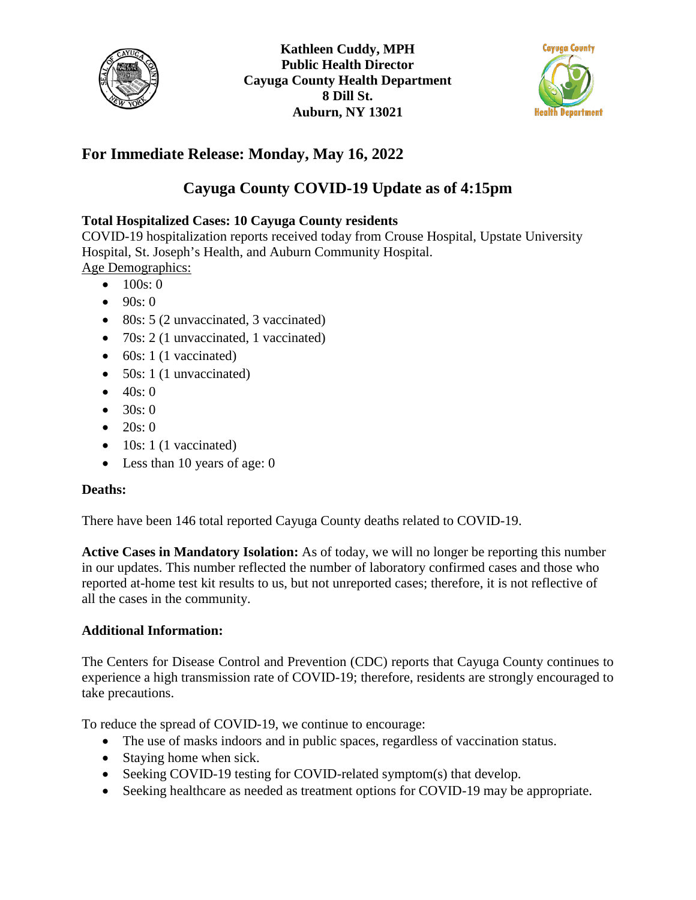



## **For Immediate Release: Monday, May 16, 2022**

# **Cayuga County COVID-19 Update as of 4:15pm**

## **Total Hospitalized Cases: 10 Cayuga County residents**

COVID-19 hospitalization reports received today from Crouse Hospital, Upstate University Hospital, St. Joseph's Health, and Auburn Community Hospital. Age Demographics:

- $100s:0$
- $90s:0$
- 80s: 5 (2 unvaccinated, 3 vaccinated)
- 70s: 2 (1 unvaccinated, 1 vaccinated)
- $\bullet$  60s: 1 (1 vaccinated)
- 50s: 1 (1 unvaccinated)
- $40s:0$
- $30s:0$
- $20s:0$
- $\bullet$  10s: 1 (1 vaccinated)
- Less than 10 years of age: 0

### **Deaths:**

There have been 146 total reported Cayuga County deaths related to COVID-19.

**Active Cases in Mandatory Isolation:** As of today, we will no longer be reporting this number in our updates. This number reflected the number of laboratory confirmed cases and those who reported at-home test kit results to us, but not unreported cases; therefore, it is not reflective of all the cases in the community.

### **Additional Information:**

The Centers for Disease Control and Prevention (CDC) reports that Cayuga County continues to experience a high transmission rate of COVID-19; therefore, residents are strongly encouraged to take precautions.

To reduce the spread of COVID-19, we continue to encourage:

- The use of masks indoors and in public spaces, regardless of vaccination status.
- Staying home when sick.
- Seeking COVID-19 testing for COVID-related symptom(s) that develop.
- Seeking healthcare as needed as treatment options for COVID-19 may be appropriate.